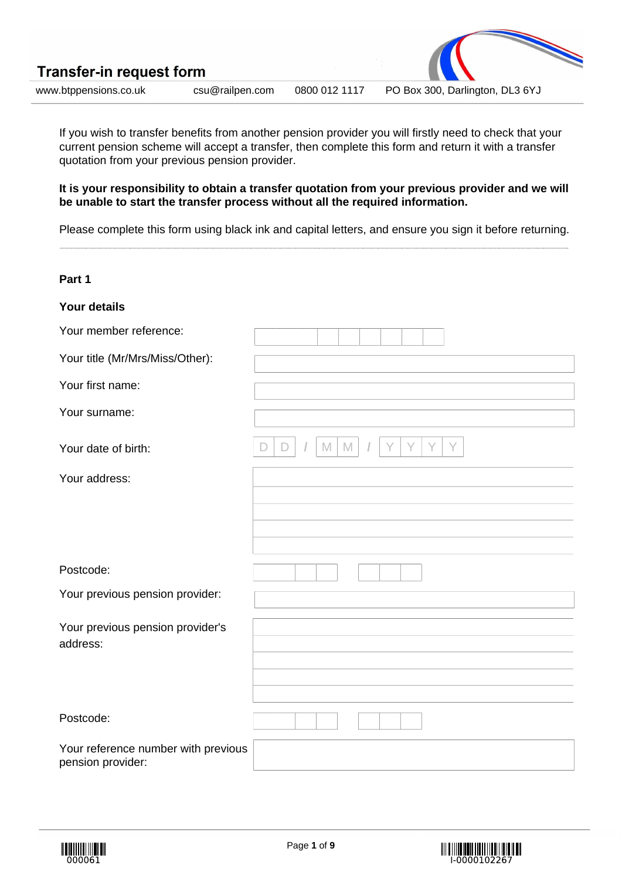| <b>Transfer-in request form</b> |                 |               |                                 |  |
|---------------------------------|-----------------|---------------|---------------------------------|--|
| www.btppensions.co.uk           | csu@railpen.com | 0800 012 1117 | PO Box 300, Darlington, DL3 6YJ |  |

If you wish to transfer benefits from another pension provider you will firstly need to check that your current pension scheme will accept a transfer, then complete this form and return it with a transfer quotation from your previous pension provider.

**It is your responsibility to obtain a transfer quotation from your previous provider and we will be unable to start the transfer process without all the required information.**

Please complete this form using black ink and capital letters, and ensure you sign it before returning.

| Part 1                                                   |                                 |
|----------------------------------------------------------|---------------------------------|
| <b>Your details</b>                                      |                                 |
| Your member reference:                                   |                                 |
| Your title (Mr/Mrs/Miss/Other):                          |                                 |
| Your first name:                                         |                                 |
| Your surname:                                            |                                 |
| Your date of birth:                                      | $\mathbb M$<br>M<br>$\Box$<br>D |
| Your address:                                            |                                 |
|                                                          |                                 |
|                                                          |                                 |
| Postcode:                                                |                                 |
| Your previous pension provider:                          |                                 |
| Your previous pension provider's                         |                                 |
| address:                                                 |                                 |
|                                                          |                                 |
|                                                          |                                 |
| Postcode:                                                |                                 |
| Your reference number with previous<br>pension provider: |                                 |



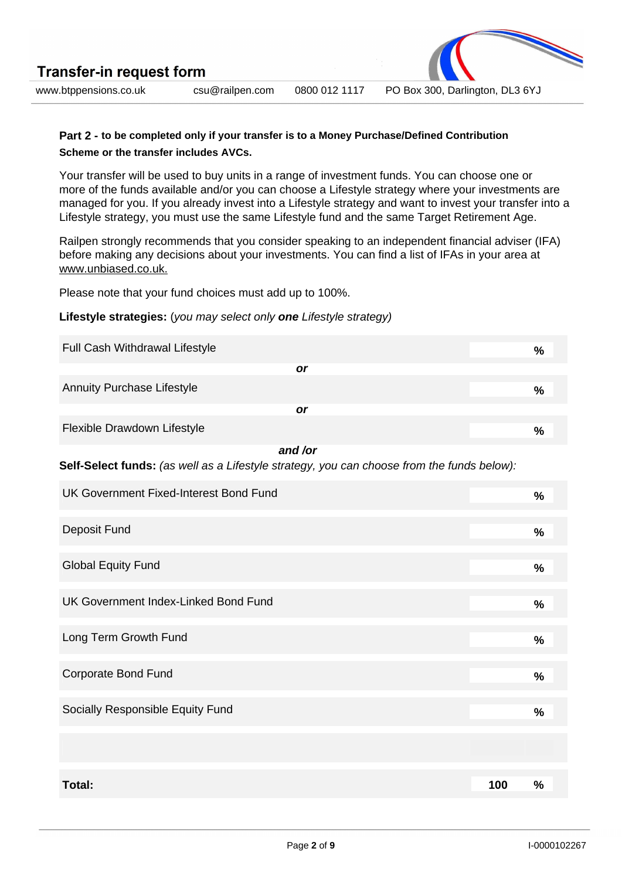www.btppensions.co.uk csu@railpen.com 0800 012 1117 PO Box 300, Darlington, DL3 6YJ

## **Part 2 - to be completed only if your transfer is to a Money Purchase/Defined Contribution Scheme or the transfer includes AVCs.**

Your transfer will be used to buy units in a range of investment funds. You can choose one or more of the funds available and/or you can choose a Lifestyle strategy where your investments are managed for you. If you already invest into a Lifestyle strategy and want to invest your transfer into a Lifestyle strategy, you must use the same Lifestyle fund and the same Target Retirement Age.

Railpen strongly recommends that you consider speaking to an independent financial adviser (IFA) before making any decisions about your investments. You can find a list of IFAs in your area at www.unbiased.co.uk.

Please note that your fund choices must add up to 100%.

### **Lifestyle strategies:** (you may select only **one** Lifestyle strategy)

| Full Cash Withdrawal Lifestyle                                                             |     | $\frac{0}{0}$ |
|--------------------------------------------------------------------------------------------|-----|---------------|
| <b>or</b>                                                                                  |     |               |
| <b>Annuity Purchase Lifestyle</b>                                                          |     | $\frac{0}{0}$ |
| or                                                                                         |     |               |
| Flexible Drawdown Lifestyle                                                                |     | $\frac{0}{0}$ |
| and /or                                                                                    |     |               |
| Self-Select funds: (as well as a Lifestyle strategy, you can choose from the funds below): |     |               |
| UK Government Fixed-Interest Bond Fund                                                     |     | $\frac{9}{6}$ |
|                                                                                            |     |               |
| Deposit Fund                                                                               |     | %             |
| <b>Global Equity Fund</b>                                                                  |     | $\frac{0}{0}$ |
|                                                                                            |     |               |
| UK Government Index-Linked Bond Fund                                                       |     | $\%$          |
|                                                                                            |     |               |
| Long Term Growth Fund                                                                      |     | %             |
|                                                                                            |     |               |
| <b>Corporate Bond Fund</b>                                                                 |     | $\frac{0}{0}$ |
| Socially Responsible Equity Fund                                                           |     | $\%$          |
|                                                                                            |     |               |
|                                                                                            |     |               |
| Total:                                                                                     | 100 | $\%$          |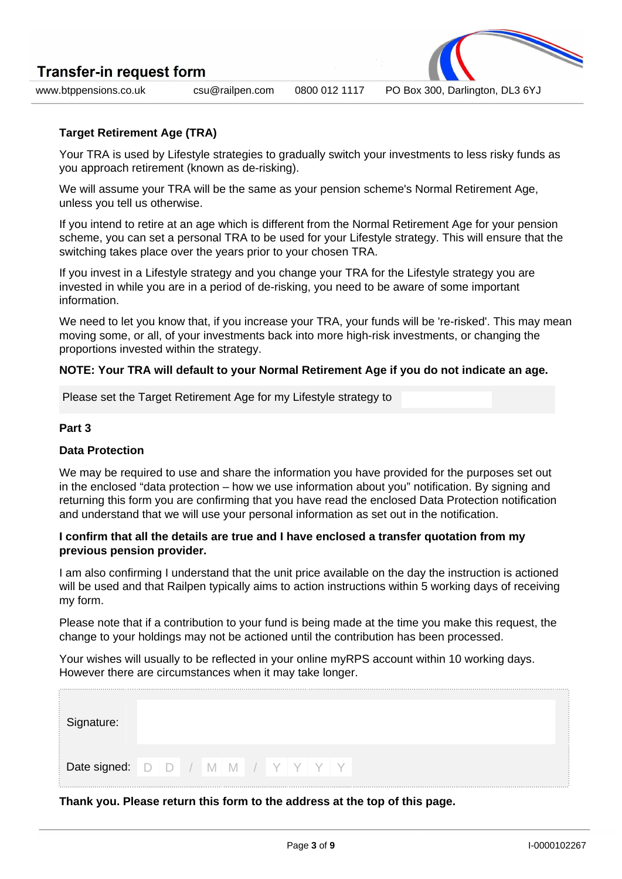



www.btppensions.co.uk csu@railpen.com 0800 012 1117 PO Box 300, Darlington, DL3 6YJ

# **Target Retirement Age (TRA)**

Your TRA is used by Lifestyle strategies to gradually switch your investments to less risky funds as you approach retirement (known as de-risking).

We will assume your TRA will be the same as your pension scheme's Normal Retirement Age, unless you tell us otherwise.

If you intend to retire at an age which is different from the Normal Retirement Age for your pension scheme, you can set a personal TRA to be used for your Lifestyle strategy. This will ensure that the switching takes place over the years prior to your chosen TRA.

If you invest in a Lifestyle strategy and you change your TRA for the Lifestyle strategy you are invested in while you are in a period of de-risking, you need to be aware of some important information.

We need to let you know that, if you increase your TRA, your funds will be 're-risked'. This may mean moving some, or all, of your investments back into more high-risk investments, or changing the proportions invested within the strategy.

## **NOTE: Your TRA will default to your Normal Retirement Age if you do not indicate an age.**

Please set the Target Retirement Age for my Lifestyle strategy to

## **Part 3**

### **Data Protection**

We may be required to use and share the information you have provided for the purposes set out in the enclosed "data protection – how we use information about you" notification. By signing and returning this form you are confirming that you have read the enclosed Data Protection notification and understand that we will use your personal information as set out in the notification.

### **I confirm that all the details are true and I have enclosed a transfer quotation from my previous pension provider.**

I am also confirming I understand that the unit price available on the day the instruction is actioned will be used and that Railpen typically aims to action instructions within 5 working days of receiving my form.

Please note that if a contribution to your fund is being made at the time you make this request, the change to your holdings may not be actioned until the contribution has been processed.

Your wishes will usually to be reflected in your online myRPS account within 10 working days. However there are circumstances when it may take longer.

| Signature:                         |  |  |  |  |  |  |
|------------------------------------|--|--|--|--|--|--|
| Date signed: D D / M M / Y Y Y Y Y |  |  |  |  |  |  |

## **Thank you. Please return this form to the address at the top of this page.**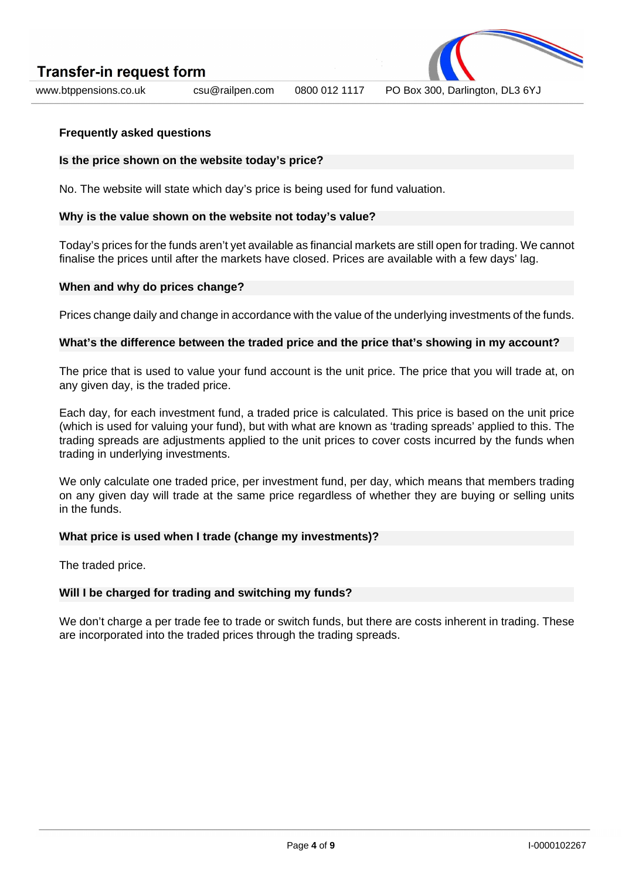

www.btppensions.co.uk csu@railpen.com 0800 012 1117 PO Box 300, Darlington, DL3 6YJ

### **Frequently asked questions**

### **Is the price shown on the website today's price?**

No. The website will state which day's price is being used for fund valuation.

### **Why is the value shown on the website not today's value?**

Today's prices for the funds aren't yet available as financial markets are still open for trading. We cannot finalise the prices until after the markets have closed. Prices are available with a few days' lag.

#### **When and why do prices change?**

Prices change daily and change in accordance with the value of the underlying investments of the funds.

### **What's the difference between the traded price and the price that's showing in my account?**

The price that is used to value your fund account is the unit price. The price that you will trade at, on any given day, is the traded price.

Each day, for each investment fund, a traded price is calculated. This price is based on the unit price (which is used for valuing your fund), but with what are known as 'trading spreads' applied to this. The trading spreads are adjustments applied to the unit prices to cover costs incurred by the funds when trading in underlying investments.

We only calculate one traded price, per investment fund, per day, which means that members trading on any given day will trade at the same price regardless of whether they are buying or selling units in the funds.

#### **What price is used when I trade (change my investments)?**

The traded price.

## **Will I be charged for trading and switching my funds?**

We don't charge a per trade fee to trade or switch funds, but there are costs inherent in trading. These are incorporated into the traded prices through the trading spreads.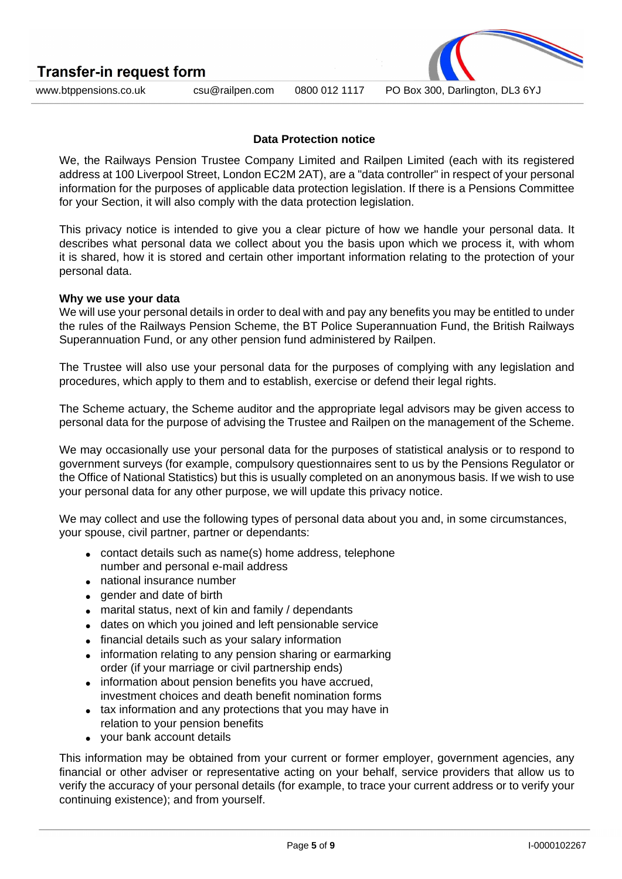**Transfer-in request form** 



www.btppensions.co.uk csu@railpen.com 0800 012 1117 PO Box 300, Darlington, DL3 6YJ

## **Data Protection notice**

We, the Railways Pension Trustee Company Limited and Railpen Limited (each with its registered address at 100 Liverpool Street, London EC2M 2AT), are a "data controller" in respect of your personal information for the purposes of applicable data protection legislation. If there is a Pensions Committee for your Section, it will also comply with the data protection legislation.

This privacy notice is intended to give you a clear picture of how we handle your personal data. It describes what personal data we collect about you the basis upon which we process it, with whom it is shared, how it is stored and certain other important information relating to the protection of your personal data.

### **Why we use your data**

We will use your personal details in order to deal with and pay any benefits you may be entitled to under the rules of the Railways Pension Scheme, the BT Police Superannuation Fund, the British Railways Superannuation Fund, or any other pension fund administered by Railpen.

The Trustee will also use your personal data for the purposes of complying with any legislation and procedures, which apply to them and to establish, exercise or defend their legal rights.

The Scheme actuary, the Scheme auditor and the appropriate legal advisors may be given access to personal data for the purpose of advising the Trustee and Railpen on the management of the Scheme.

We may occasionally use your personal data for the purposes of statistical analysis or to respond to government surveys (for example, compulsory questionnaires sent to us by the Pensions Regulator or the Office of National Statistics) but this is usually completed on an anonymous basis. If we wish to use your personal data for any other purpose, we will update this privacy notice.

We may collect and use the following types of personal data about you and, in some circumstances, your spouse, civil partner, partner or dependants:

- contact details such as name(s) home address, telephone number and personal e-mail address
- national insurance number
- gender and date of birth
- marital status, next of kin and family / dependants
- dates on which you joined and left pensionable service
- financial details such as your salary information
- information relating to any pension sharing or earmarking order (if your marriage or civil partnership ends)
- information about pension benefits you have accrued. investment choices and death benefit nomination forms
- tax information and any protections that you may have in relation to your pension benefits
- your bank account details

This information may be obtained from your current or former employer, government agencies, any financial or other adviser or representative acting on your behalf, service providers that allow us to verify the accuracy of your personal details (for example, to trace your current address or to verify your continuing existence); and from yourself.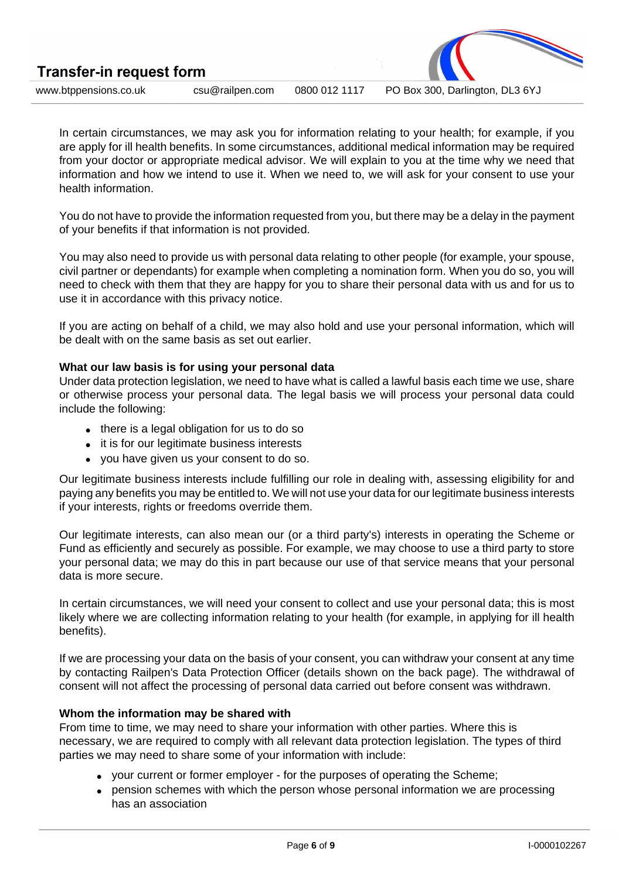| <b>Transfer-in request form</b> |                 |               |                                 |  |
|---------------------------------|-----------------|---------------|---------------------------------|--|
| www.btppensions.co.uk           | csu@railpen.com | 0800 012 1117 | PO Box 300, Darlington, DL3 6YJ |  |

In certain circumstances, we may ask you for information relating to your health; for example, if you are apply for ill health benefits. In some circumstances, additional medical information may be required from your doctor or appropriate medical advisor. We will explain to you at the time why we need that information and how we intend to use it. When we need to, we will ask for your consent to use your health information.

You do not have to provide the information requested from you, but there may be a delay in the payment of your benefits if that information is not provided.

You may also need to provide us with personal data relating to other people (for example, your spouse, civil partner or dependants) for example when completing a nomination form. When you do so, you will need to check with them that they are happy for you to share their personal data with us and for us to use it in accordance with this privacy notice.

If you are acting on behalf of a child, we may also hold and use your personal information, which will be dealt with on the same basis as set out earlier.

## **What our law basis is for using your personal data**

Under data protection legislation, we need to have what is called a lawful basis each time we use, share or otherwise process your personal data. The legal basis we will process your personal data could include the following:

- there is a legal obligation for us to do so
- it is for our legitimate business interests
- you have given us your consent to do so.

Our legitimate business interests include fulfilling our role in dealing with, assessing eligibility for and paying any benefits you may be entitled to. We will not use your data for our legitimate business interests if your interests, rights or freedoms override them.

Our legitimate interests, can also mean our (or a third party's) interests in operating the Scheme or Fund as efficiently and securely as possible. For example, we may choose to use a third party to store your personal data; we may do this in part because our use of that service means that your personal data is more secure.

In certain circumstances, we will need your consent to collect and use your personal data; this is most likely where we are collecting information relating to your health (for example, in applying for ill health benefits).

If we are processing your data on the basis of your consent, you can withdraw your consent at any time by contacting Railpen's Data Protection Officer (details shown on the back page). The withdrawal of consent will not affect the processing of personal data carried out before consent was withdrawn.

## **Whom the information may be shared with**

From time to time, we may need to share your information with other parties. Where this is necessary, we are required to comply with all relevant data protection legislation. The types of third parties we may need to share some of your information with include:

- your current or former employer for the purposes of operating the Scheme:
- pension schemes with which the person whose personal information we are processing has an association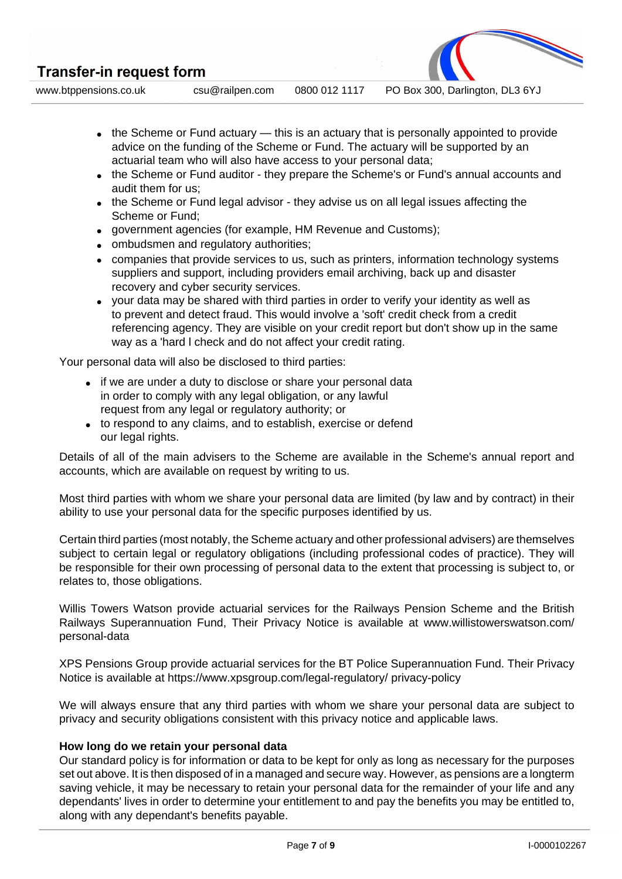**Transfer-in request form** 

www.btppensions.co.uk csu@railpen.com 0800 012 1117 PO Box 300, Darlington, DL3 6YJ

- $\bullet$  the Scheme or Fund actuary this is an actuary that is personally appointed to provide advice on the funding of the Scheme or Fund. The actuary will be supported by an actuarial team who will also have access to your personal data;
- the Scheme or Fund auditor they prepare the Scheme's or Fund's annual accounts and audit them for us;
- the Scheme or Fund legal advisor they advise us on all legal issues affecting the Scheme or Fund;
- government agencies (for example, HM Revenue and Customs);
- ombudsmen and regulatory authorities;
- companies that provide services to us, such as printers, information technology systems suppliers and support, including providers email archiving, back up and disaster recovery and cyber security services.
- your data may be shared with third parties in order to verify your identity as well as to prevent and detect fraud. This would involve a 'soft' credit check from a credit referencing agency. They are visible on your credit report but don't show up in the same way as a 'hard l check and do not affect your credit rating.

Your personal data will also be disclosed to third parties:

- if we are under a duty to disclose or share your personal data in order to comply with any legal obligation, or any lawful request from any legal or regulatory authority; or
- to respond to any claims, and to establish, exercise or defend our legal rights.

Details of all of the main advisers to the Scheme are available in the Scheme's annual report and accounts, which are available on request by writing to us.

Most third parties with whom we share your personal data are limited (by law and by contract) in their ability to use your personal data for the specific purposes identified by us.

Certain third parties (most notably, the Scheme actuary and other professional advisers) are themselves subject to certain legal or regulatory obligations (including professional codes of practice). They will be responsible for their own processing of personal data to the extent that processing is subject to, or relates to, those obligations.

Willis Towers Watson provide actuarial services for the Railways Pension Scheme and the British Railways Superannuation Fund, Their Privacy Notice is available at www.willistowerswatson.com/ personal-data

XPS Pensions Group provide actuarial services for the BT Police Superannuation Fund. Their Privacy Notice is available at https://www.xpsgroup.com/legal-regulatory/ privacy-policy

We will always ensure that any third parties with whom we share your personal data are subject to privacy and security obligations consistent with this privacy notice and applicable laws.

# **How long do we retain your personal data**

Our standard policy is for information or data to be kept for only as long as necessary for the purposes set out above. It is then disposed of in a managed and secure way. However, as pensions are a longterm saving vehicle, it may be necessary to retain your personal data for the remainder of your life and any dependants' lives in order to determine your entitlement to and pay the benefits you may be entitled to, along with any dependant's benefits payable.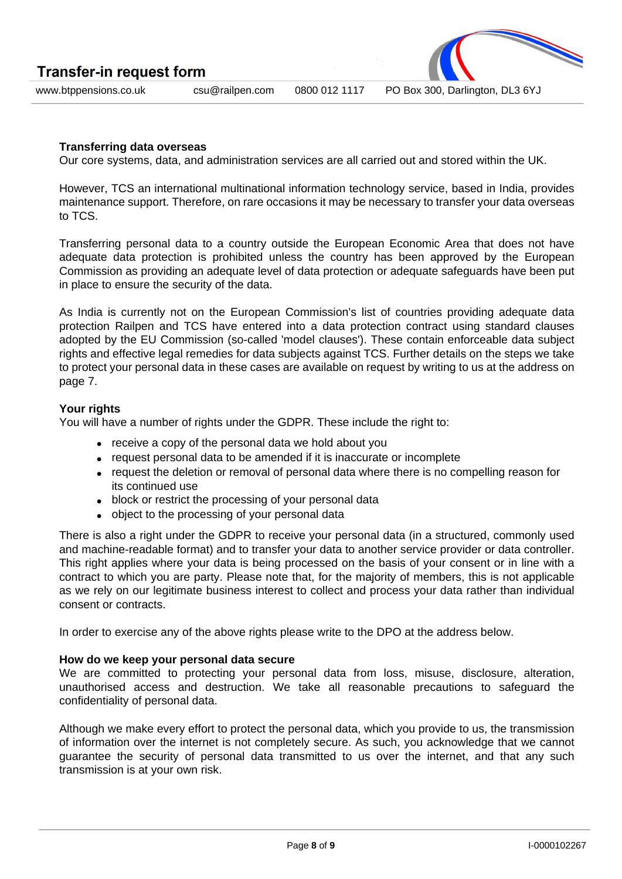| <b>Transfer-in request form</b> |                 |               | $\overline{\phantom{a}}$<br><b>TAXABLE PROPERTY</b> |  |
|---------------------------------|-----------------|---------------|-----------------------------------------------------|--|
| www.btppensions.co.uk           | csu@railpen.com | 0800 012 1117 | PO Box 300, Darlington, DL3 6YJ                     |  |

## **Transferring data overseas**

Our core systems, data, and administration services are all carried out and stored within the UK.

However, TCS an international multinational information technology service, based in India, provides maintenance support. Therefore, on rare occasions it may be necessary to transfer your data overseas to TCS.

Transferring personal data to a country outside the European Economic Area that does not have adequate data protection is prohibited unless the country has been approved by the European Commission as providing an adequate level of data protection or adequate safeguards have been put in place to ensure the security of the data.

As India is currently not on the European Commission's list of countries providing adequate data protection Railpen and TCS have entered into a data protection contract using standard clauses adopted by the EU Commission (so-called 'model clauses'). These contain enforceable data subject rights and effective legal remedies for data subjects against TCS. Further details on the steps we take to protect your personal data in these cases are available on request by writing to us at the address on page 7.

#### **Your rights**

You will have a number of rights under the GDPR. These include the right to:

- receive a copy of the personal data we hold about you
- request personal data to be amended if it is inaccurate or incomplete
- request the deletion or removal of personal data where there is no compelling reason for its continued use
- block or restrict the processing of your personal data
- object to the processing of your personal data

There is also a right under the GDPR to receive your personal data (in a structured, commonly used and machine-readable format) and to transfer your data to another service provider or data controller. This right applies where your data is being processed on the basis of your consent or in line with a contract to which you are party. Please note that, for the majority of members, this is not applicable as we rely on our legitimate business interest to collect and process your data rather than individual consent or contracts.

In order to exercise any of the above rights please write to the DPO at the address below.

#### **How do we keep your personal data secure**

We are committed to protecting your personal data from loss, misuse, disclosure, alteration, unauthorised access and destruction. We take all reasonable precautions to safeguard the confidentiality of personal data.

Although we make every effort to protect the personal data, which you provide to us, the transmission of information over the internet is not completely secure. As such, you acknowledge that we cannot guarantee the security of personal data transmitted to us over the internet, and that any such transmission is at your own risk.